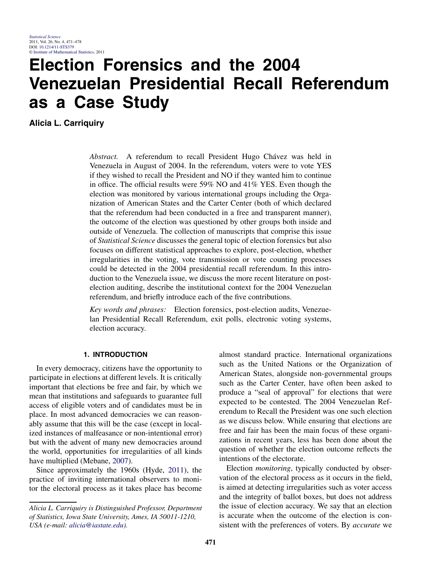# **Election Forensics and the 2004 Venezuelan Presidential Recall Referendum as a Case Study**

**Alicia L. Carriquiry**

*Abstract.* A referendum to recall President Hugo Chávez was held in Venezuela in August of 2004. In the referendum, voters were to vote YES if they wished to recall the President and NO if they wanted him to continue in office. The official results were 59% NO and 41% YES. Even though the election was monitored by various international groups including the Organization of American States and the Carter Center (both of which declared that the referendum had been conducted in a free and transparent manner), the outcome of the election was questioned by other groups both inside and outside of Venezuela. The collection of manuscripts that comprise this issue of *Statistical Science* discusses the general topic of election forensics but also focuses on different statistical approaches to explore, post-election, whether irregularities in the voting, vote transmission or vote counting processes could be detected in the 2004 presidential recall referendum. In this introduction to the Venezuela issue, we discuss the more recent literature on postelection auditing, describe the institutional context for the 2004 Venezuelan referendum, and briefly introduce each of the five contributions.

*Key words and phrases:* Election forensics, post-election audits, Venezuelan Presidential Recall Referendum, exit polls, electronic voting systems, election accuracy.

# **1. INTRODUCTION**

In every democracy, citizens have the opportunity to participate in elections at different levels. It is critically important that elections be free and fair, by which we mean that institutions and safeguards to guarantee full access of eligible voters and of candidates must be in place. In most advanced democracies we can reasonably assume that this will be the case (except in localized instances of malfeasance or non-intentional error) but with the advent of many new democracies around the world, opportunities for irregularities of all kinds have multiplied (Mebane, [2007\)](#page-7-0).

Since approximately the 1960s (Hyde, [2011\)](#page-7-0), the practice of inviting international observers to monitor the electoral process as it takes place has become almost standard practice. International organizations such as the United Nations or the Organization of American States, alongside non-governmental groups such as the Carter Center, have often been asked to produce a "seal of approval" for elections that were expected to be contested. The 2004 Venezuelan Referendum to Recall the President was one such election as we discuss below. While ensuring that elections are free and fair has been the main focus of these organizations in recent years, less has been done about the question of whether the election outcome reflects the intentions of the electorate.

Election *monitoring*, typically conducted by observation of the electoral process as it occurs in the field, is aimed at detecting irregularities such as voter access and the integrity of ballot boxes, but does not address the issue of election accuracy. We say that an election is accurate when the outcome of the election is consistent with the preferences of voters. By *accurate* we

*Alicia L. Carriquiry is Distinguished Professor, Department of Statistics, Iowa State University, Ames, IA 50011-1210, USA (e-mail: [alicia@iastate.edu\)](mailto:alicia@iastate.edu).*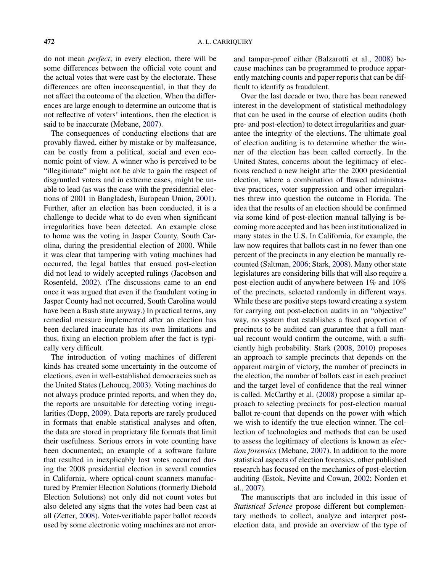do not mean *perfect*; in every election, there will be some differences between the official vote count and the actual votes that were cast by the electorate. These differences are often inconsequential, in that they do not affect the outcome of the election. When the differences are large enough to determine an outcome that is not reflective of voters' intentions, then the election is said to be inaccurate (Mebane, [2007\)](#page-7-0).

The consequences of conducting elections that are provably flawed, either by mistake or by malfeasance, can be costly from a political, social and even economic point of view. A winner who is perceived to be "illegitimate" might not be able to gain the respect of disgruntled voters and in extreme cases, might be unable to lead (as was the case with the presidential elections of 2001 in Bangladesh, European Union, [2001\)](#page-7-0). Further, after an election has been conducted, it is a challenge to decide what to do even when significant irregularities have been detected. An example close to home was the voting in Jasper County, South Carolina, during the presidential election of 2000. While it was clear that tampering with voting machines had occurred, the legal battles that ensued post-election did not lead to widely accepted rulings (Jacobson and Rosenfeld, [2002\)](#page-7-0). (The discussions came to an end once it was argued that even if the fraudulent voting in Jasper County had not occurred, South Carolina would have been a Bush state anyway.) In practical terms, any remedial measure implemented after an election has been declared inaccurate has its own limitations and thus, fixing an election problem after the fact is typically very difficult.

The introduction of voting machines of different kinds has created some uncertainty in the outcome of elections, even in well-established democracies such as the United States (Lehoucq, [2003\)](#page-7-0). Voting machines do not always produce printed reports, and when they do, the reports are unsuitable for detecting voting irregularities (Dopp, [2009\)](#page-6-0). Data reports are rarely produced in formats that enable statistical analyses and often, the data are stored in proprietary file formats that limit their usefulness. Serious errors in vote counting have been documented; an example of a software failure that resulted in inexplicably lost votes occurred during the 2008 presidential election in several counties in California, where optical-count scanners manufactured by Premier Election Solutions (formerly Diebold Election Solutions) not only did not count votes but also deleted any signs that the votes had been cast at all (Zetter, [2008\)](#page-7-0). Voter-verifiable paper ballot records used by some electronic voting machines are not errorand tamper-proof either (Balzarotti et al., [2008\)](#page-6-0) because machines can be programmed to produce apparently matching counts and paper reports that can be difficult to identify as fraudulent.

Over the last decade or two, there has been renewed interest in the development of statistical methodology that can be used in the course of election audits (both pre- and post-election) to detect irregularities and guarantee the integrity of the elections. The ultimate goal of election auditing is to determine whether the winner of the election has been called correctly. In the United States, concerns about the legitimacy of elections reached a new height after the 2000 presidential election, where a combination of flawed administrative practices, voter suppression and other irregularities threw into question the outcome in Florida. The idea that the results of an election should be confirmed via some kind of post-election manual tallying is becoming more accepted and has been institutionalized in many states in the U.S. In California, for example, the law now requires that ballots cast in no fewer than one percent of the precincts in any election be manually recounted (Saltman, [2006;](#page-7-0) Stark, [2008\)](#page-7-0). Many other state legislatures are considering bills that will also require a post-election audit of anywhere between 1% and 10% of the precincts, selected randomly in different ways. While these are positive steps toward creating a system for carrying out post-election audits in an "objective" way, no system that establishes a fixed proportion of precincts to be audited can guarantee that a full manual recount would confirm the outcome, with a sufficiently high probability. Stark [\(2008,](#page-7-0) [2010\)](#page-7-0) proposes an approach to sample precincts that depends on the apparent margin of victory, the number of precincts in the election, the number of ballots cast in each precinct and the target level of confidence that the real winner is called. McCarthy et al. [\(2008\)](#page-7-0) propose a similar approach to selecting precincts for post-election manual ballot re-count that depends on the power with which we wish to identify the true election winner. The collection of technologies and methods that can be used to assess the legitimacy of elections is known as *election forensics* (Mebane, [2007\)](#page-7-0). In addition to the more statistical aspects of election forensics, other published research has focused on the mechanics of post-election auditing (Estok, Nevitte and Cowan, [2002;](#page-7-0) Norden et al., [2007\)](#page-7-0).

The manuscripts that are included in this issue of *Statistical Science* propose different but complementary methods to collect, analyze and interpret postelection data, and provide an overview of the type of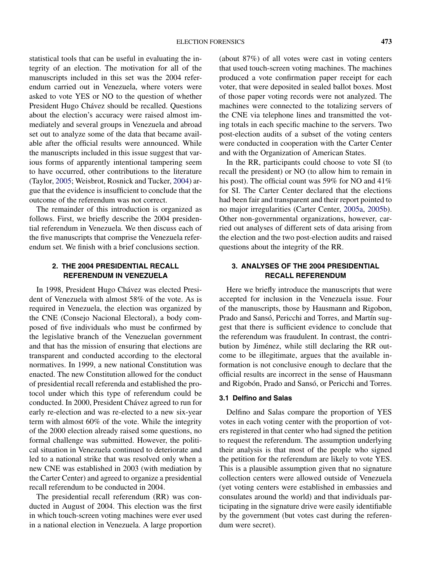statistical tools that can be useful in evaluating the integrity of an election. The motivation for all of the manuscripts included in this set was the 2004 referendum carried out in Venezuela, where voters were asked to vote YES or NO to the question of whether President Hugo Chávez should be recalled. Questions about the election's accuracy were raised almost immediately and several groups in Venezuela and abroad set out to analyze some of the data that became available after the official results were announced. While the manuscripts included in this issue suggest that various forms of apparently intentional tampering seem to have occurred, other contributions to the literature (Taylor, [2005;](#page-7-0) Weisbrot, Rosnick and Tucker, [2004\)](#page-7-0) argue that the evidence is insufficient to conclude that the outcome of the referendum was not correct.

The remainder of this introduction is organized as follows. First, we briefly describe the 2004 presidential referendum in Venezuela. We then discuss each of the five manuscripts that comprise the Venezuela referendum set. We finish with a brief conclusions section.

# **2. THE 2004 PRESIDENTIAL RECALL REFERENDUM IN VENEZUELA**

In 1998, President Hugo Chávez was elected President of Venezuela with almost 58% of the vote. As is required in Venezuela, the election was organized by the CNE (Consejo Nacional Electoral), a body composed of five individuals who must be confirmed by the legislative branch of the Venezuelan government and that has the mission of ensuring that elections are transparent and conducted according to the electoral normatives. In 1999, a new national Constitution was enacted. The new Constitution allowed for the conduct of presidential recall referenda and established the protocol under which this type of referendum could be conducted. In 2000, President Chávez agreed to run for early re-election and was re-elected to a new six-year term with almost 60% of the vote. While the integrity of the 2000 election already raised some questions, no formal challenge was submitted. However, the political situation in Venezuela continued to deteriorate and led to a national strike that was resolved only when a new CNE was established in 2003 (with mediation by the Carter Center) and agreed to organize a presidential recall referendum to be conducted in 2004.

The presidential recall referendum (RR) was conducted in August of 2004. This election was the first in which touch-screen voting machines were ever used in a national election in Venezuela. A large proportion (about 87%) of all votes were cast in voting centers that used touch-screen voting machines. The machines produced a vote confirmation paper receipt for each voter, that were deposited in sealed ballot boxes. Most of those paper voting records were not analyzed. The machines were connected to the totalizing servers of the CNE via telephone lines and transmitted the voting totals in each specific machine to the servers. Two post-election audits of a subset of the voting centers were conducted in cooperation with the Carter Center and with the Organization of American States.

In the RR, participants could choose to vote SI (to recall the president) or NO (to allow him to remain in his post). The official count was 59% for NO and 41% for SI. The Carter Center declared that the elections had been fair and transparent and their report pointed to no major irregularities (Carter Center, [2005a,](#page-6-0) [2005b\)](#page-6-0). Other non-governmental organizations, however, carried out analyses of different sets of data arising from the election and the two post-election audits and raised questions about the integrity of the RR.

# **3. ANALYSES OF THE 2004 PRESIDENTIAL RECALL REFERENDUM**

Here we briefly introduce the manuscripts that were accepted for inclusion in the Venezuela issue. Four of the manuscripts, those by Hausmann and Rigobon, Prado and Sansó, Pericchi and Torres, and Martín suggest that there is sufficient evidence to conclude that the referendum was fraudulent. In contrast, the contribution by Jiménez, while still declaring the RR outcome to be illegitimate, argues that the available information is not conclusive enough to declare that the official results are incorrect in the sense of Hausmann and Rigobón, Prado and Sansó, or Pericchi and Torres.

# **3.1 Delfino and Salas**

Delfino and Salas compare the proportion of YES votes in each voting center with the proportion of voters registered in that center who had signed the petition to request the referendum. The assumption underlying their analysis is that most of the people who signed the petition for the referendum are likely to vote YES. This is a plausible assumption given that no signature collection centers were allowed outside of Venezuela (yet voting centers were established in embassies and consulates around the world) and that individuals participating in the signature drive were easily identifiable by the government (but votes cast during the referendum were secret).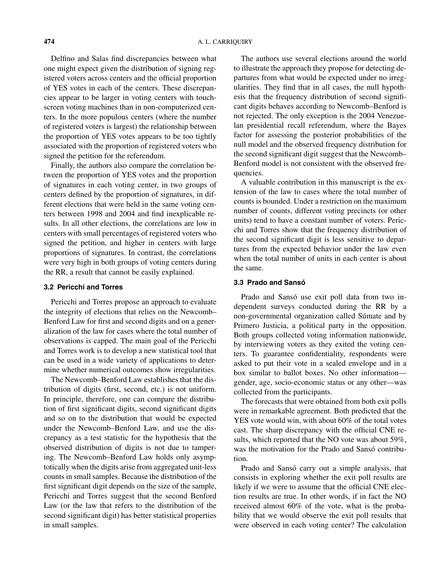Delfino and Salas find discrepancies between what one might expect given the distribution of signing registered voters across centers and the official proportion of YES votes in each of the centers. These discrepancies appear to be larger in voting centers with touchscreen voting machines than in non-computerized centers. In the more populous centers (where the number of registered voters is largest) the relationship between the proportion of YES votes appears to be too tightly associated with the proportion of registered voters who signed the petition for the referendum.

Finally, the authors also compare the correlation between the proportion of YES votes and the proportion of signatures in each voting center, in two groups of centers defined by the proportion of signatures, in different elections that were held in the same voting centers between 1998 and 2004 and find inexplicable results. In all other elections, the correlations are low in centers with small percentages of registered voters who signed the petition, and higher in centers with large proportions of signatures. In contrast, the correlations were very high in both groups of voting centers during the RR, a result that cannot be easily explained.

## **3.2 Pericchi and Torres**

Pericchi and Torres propose an approach to evaluate the integrity of elections that relies on the Newcomb– Benford Law for first and second digits and on a generalization of the law for cases where the total number of observations is capped. The main goal of the Pericchi and Torres work is to develop a new statistical tool that can be used in a wide variety of applications to determine whether numerical outcomes show irregularities.

The Newcomb–Benford Law establishes that the distribution of digits (first, second, etc.) is not uniform. In principle, therefore, one can compare the distribution of first significant digits, second significant digits and so on to the distribution that would be expected under the Newcomb–Benford Law, and use the discrepancy as a test statistic for the hypothesis that the observed distribution of digits is not due to tampering. The Newcomb–Benford Law holds only asymptotically when the digits arise from aggregated unit-less counts in small samples. Because the distribution of the first significant digit depends on the size of the sample, Pericchi and Torres suggest that the second Benford Law (or the law that refers to the distribution of the second significant digit) has better statistical properties in small samples.

The authors use several elections around the world to illustrate the approach they propose for detecting departures from what would be expected under no irregularities. They find that in all cases, the null hypothesis that the frequency distribution of second significant digits behaves according to Newcomb–Benford is not rejected. The only exception is the 2004 Venezuelan presidential recall referendum, where the Bayes factor for assessing the posterior probabilities of the null model and the observed frequency distribution for the second significant digit suggest that the Newcomb– Benford model is not consistent with the observed frequencies.

A valuable contribution in this manuscript is the extension of the law to cases where the total number of counts is bounded. Under a restriction on the maximum number of counts, different voting precincts (or other units) tend to have a constant number of voters. Pericchi and Torres show that the frequency distribution of the second significant digit is less sensitive to departures from the expected behavior under the law even when the total number of units in each center is about the same.

#### **3.3 Prado and Sansó**

Prado and Sansó use exit poll data from two independent surveys conducted during the RR by a non-governmental organization called Súmate and by Primero Justicia, a political party in the opposition. Both groups collected voting information nationwide, by interviewing voters as they exited the voting centers. To guarantee confidentiality, respondents were asked to put their vote in a sealed envelope and in a box similar to ballot boxes. No other information gender, age, socio-economic status or any other—was collected from the participants.

The forecasts that were obtained from both exit polls were in remarkable agreement. Both predicted that the YES vote would win, with about 60% of the total votes cast. The sharp discrepancy with the official CNE results, which reported that the NO vote was about 59%, was the motivation for the Prado and Sansó contribution.

Prado and Sansó carry out a simple analysis, that consists in exploring whether the exit poll results are likely if we were to assume that the official CNE election results are true. In other words, if in fact the NO received almost 60% of the vote, what is the probability that we would observe the exit poll results that were observed in each voting center? The calculation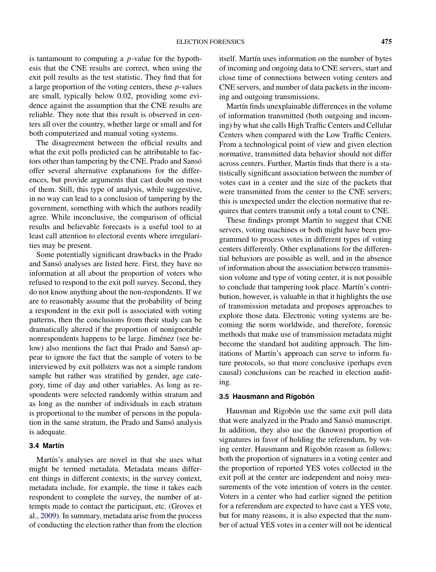is tantamount to computing a *p*-value for the hypothesis that the CNE results are correct, when using the exit poll results as the test statistic. They find that for a large proportion of the voting centers, these *p*-values are small, typically below 0.02, providing some evidence against the assumption that the CNE results are reliable. They note that this result is observed in centers all over the country, whether large or small and for both computerized and manual voting systems.

The disagreement between the official results and what the exit polls predicted can be attributable to factors other than tampering by the CNE. Prado and Sansó offer several alternative explanations for the differences, but provide arguments that cast doubt on most of them. Still, this type of analysis, while suggestive, in no way can lead to a conclusion of tampering by the government, something with which the authors readily agree. While inconclusive, the comparison of official results and believable forecasts is a useful tool to at least call attention to electoral events where irregularities may be present.

Some potentially significant drawbacks in the Prado and Sansó analyses are listed here. First, they have no information at all about the proportion of voters who refused to respond to the exit poll survey. Second, they do not know anything about the non-respondents. If we are to reasonably assume that the probability of being a respondent in the exit poll is associated with voting patterns, then the conclusions from their study can be dramatically altered if the proportion of nonignorable nonrespondents happens to be large. Jiménez (see below) also mentions the fact that Prado and Sansó appear to ignore the fact that the sample of voters to be interviewed by exit pollsters was not a simple random sample but rather was stratified by gender, age category, time of day and other variables. As long as respondents were selected randomly within stratum and as long as the number of individuals in each stratum is proportional to the number of persons in the population in the same stratum, the Prado and Sansó analysis is adequate.

#### **3.4 Martín**

Martín's analyses are novel in that she uses what might be termed metadata. Metadata means different things in different contexts; in the survey context, metadata include, for example, the time it takes each respondent to complete the survey, the number of attempts made to contact the participant, etc. (Groves et al., [2009\)](#page-7-0). In summary, metadata arise from the process of conducting the election rather than from the election

itself. Martín uses information on the number of bytes of incoming and ongoing data to CNE servers, start and close time of connections between voting centers and CNE servers, and number of data packets in the incoming and outgoing transmissions.

Martín finds unexplainable differences in the volume of information transmitted (both outgoing and incoming) by what she calls High Traffic Centers and Cellular Centers when compared with the Low Traffic Centers. From a technological point of view and given election normative, transmitted data behavior should not differ across centers. Further, Martín finds that there is a statistically significant association between the number of votes cast in a center and the size of the packets that were transmitted from the center to the CNE servers; this is unexpected under the election normative that requires that centers transmit only a total count to CNE.

These findings prompt Martín to suggest that CNE servers, voting machines or both might have been programmed to process votes in different types of voting centers differently. Other explanations for the differential behaviors are possible as well, and in the absence of information about the association between transmission volume and type of voting center, it is not possible to conclude that tampering took place. Martín's contribution, however, is valuable in that it highlights the use of transmission metadata and proposes approaches to explore those data. Electronic voting systems are becoming the norm worldwide, and therefore, forensic methods that make use of transmission metadata might become the standard hot auditing approach. The limitations of Martín's approach can serve to inform future protocols, so that more conclusive (perhaps even causal) conclusions can be reached in election auditing.

# **3.5 Hausmann and Rigobón**

Hausman and Rigobón use the same exit poll data that were analyzed in the Prado and Sansó manuscript. In addition, they also use the (known) proportion of signatures in favor of holding the referendum, by voting center. Hausmann and Rigobón reason as follows: both the proportion of signatures in a voting center and the proportion of reported YES votes collected in the exit poll at the center are independent and noisy measurements of the vote intention of voters in the center. Voters in a center who had earlier signed the petition for a referendum are expected to have cast a YES vote, but for many reasons, it is also expected that the number of actual YES votes in a center will not be identical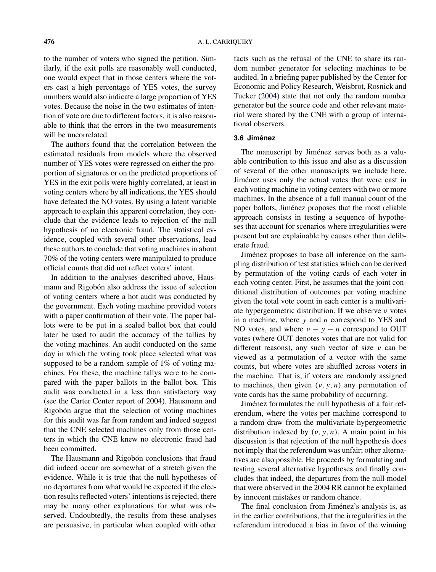to the number of voters who signed the petition. Similarly, if the exit polls are reasonably well conducted, one would expect that in those centers where the voters cast a high percentage of YES votes, the survey numbers would also indicate a large proportion of YES votes. Because the noise in the two estimates of intention of vote are due to different factors, it is also reasonable to think that the errors in the two measurements will be uncorrelated.

The authors found that the correlation between the estimated residuals from models where the observed number of YES votes were regressed on either the proportion of signatures or on the predicted proportions of YES in the exit polls were highly correlated, at least in voting centers where by all indications, the YES should have defeated the NO votes. By using a latent variable approach to explain this apparent correlation, they conclude that the evidence leads to rejection of the null hypothesis of no electronic fraud. The statistical evidence, coupled with several other observations, lead these authors to conclude that voting machines in about 70% of the voting centers were manipulated to produce official counts that did not reflect voters' intent.

In addition to the analyses described above, Hausmann and Rigobón also address the issue of selection of voting centers where a hot audit was conducted by the government. Each voting machine provided voters with a paper confirmation of their vote. The paper ballots were to be put in a sealed ballot box that could later be used to audit the accuracy of the tallies by the voting machines. An audit conducted on the same day in which the voting took place selected what was supposed to be a random sample of 1% of voting machines. For these, the machine tallys were to be compared with the paper ballots in the ballot box. This audit was conducted in a less than satisfactory way (see the Carter Center report of 2004). Hausmann and Rigobón argue that the selection of voting machines for this audit was far from random and indeed suggest that the CNE selected machines only from those centers in which the CNE knew no electronic fraud had been committed.

The Hausmann and Rigobón conclusions that fraud did indeed occur are somewhat of a stretch given the evidence. While it is true that the null hypotheses of no departures from what would be expected if the election results reflected voters' intentions is rejected, there may be many other explanations for what was observed. Undoubtedly, the results from these analyses are persuasive, in particular when coupled with other

facts such as the refusal of the CNE to share its random number generator for selecting machines to be audited. In a briefing paper published by the Center for Economic and Policy Research, Weisbrot, Rosnick and Tucker [\(2004\)](#page-7-0) state that not only the random number generator but the source code and other relevant material were shared by the CNE with a group of international observers.

#### **3.6 Jiménez**

The manuscript by Jiménez serves both as a valuable contribution to this issue and also as a discussion of several of the other manuscripts we include here. Jiménez uses only the actual votes that were cast in each voting machine in voting centers with two or more machines. In the absence of a full manual count of the paper ballots, Jiménez proposes that the most reliable approach consists in testing a sequence of hypotheses that account for scenarios where irregularities were present but are explainable by causes other than deliberate fraud.

Jiménez proposes to base all inference on the sampling distribution of test statistics which can be derived by permutation of the voting cards of each voter in each voting center. First, he assumes that the joint conditional distribution of outcomes per voting machine given the total vote count in each center is a multivariate hypergeometric distribution. If we observe *ν* votes in a machine, where *y* and *n* correspond to YES and NO votes, and where  $v - y - n$  correspond to OUT votes (where OUT denotes votes that are not valid for different reasons), any such vector of size *ν* can be viewed as a permutation of a vector with the same counts, but where votes are shuffled across voters in the machine. That is, if voters are randomly assigned to machines, then given  $(v, y, n)$  any permutation of vote cards has the same probability of occurring.

Jiménez formulates the null hypothesis of a fair referendum, where the votes per machine correspond to a random draw from the multivariate hypergeometric distribution indexed by  $(v, y, n)$ . A main point in his discussion is that rejection of the null hypothesis does not imply that the referendum was unfair; other alternatives are also possible. He proceeds by formulating and testing several alternative hypotheses and finally concludes that indeed, the departures from the null model that were observed in the 2004 RR cannot be explained by innocent mistakes or random chance.

The final conclusion from Jiménez's analysis is, as in the earlier contributions, that the irregularities in the referendum introduced a bias in favor of the winning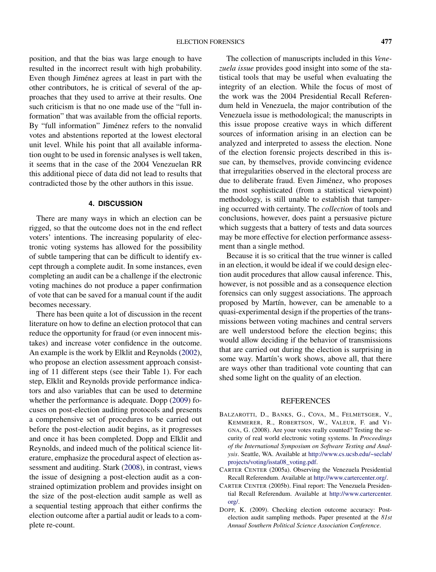<span id="page-6-0"></span>position, and that the bias was large enough to have resulted in the incorrect result with high probability. Even though Jiménez agrees at least in part with the other contributors, he is critical of several of the approaches that they used to arrive at their results. One such criticism is that no one made use of the "full information" that was available from the official reports. By "full information" Jiménez refers to the nonvalid votes and abstentions reported at the lowest electoral unit level. While his point that all available information ought to be used in forensic analyses is well taken, it seems that in the case of the 2004 Venezuelan RR this additional piece of data did not lead to results that contradicted those by the other authors in this issue.

#### **4. DISCUSSION**

There are many ways in which an election can be rigged, so that the outcome does not in the end reflect voters' intentions. The increasing popularity of electronic voting systems has allowed for the possibility of subtle tampering that can be difficult to identify except through a complete audit. In some instances, even completing an audit can be a challenge if the electronic voting machines do not produce a paper confirmation of vote that can be saved for a manual count if the audit becomes necessary.

There has been quite a lot of discussion in the recent literature on how to define an election protocol that can reduce the opportunity for fraud (or even innocent mistakes) and increase voter confidence in the outcome. An example is the work by Elklit and Reynolds [\(2002\)](#page-7-0), who propose an election assessment approach consisting of 11 different steps (see their Table 1). For each step, Elklit and Reynolds provide performance indicators and also variables that can be used to determine whether the performance is adequate. Dopp (2009) focuses on post-election auditing protocols and presents a comprehensive set of procedures to be carried out before the post-election audit begins, as it progresses and once it has been completed. Dopp and Elklit and Reynolds, and indeed much of the political science literature, emphasize the procedural aspect of election assessment and auditing. Stark [\(2008\)](#page-7-0), in contrast, views the issue of designing a post-election audit as a constrained optimization problem and provides insight on the size of the post-election audit sample as well as a sequential testing approach that either confirms the election outcome after a partial audit or leads to a complete re-count.

The collection of manuscripts included in this *Venezuela issue* provides good insight into some of the statistical tools that may be useful when evaluating the integrity of an election. While the focus of most of the work was the 2004 Presidential Recall Referendum held in Venezuela, the major contribution of the Venezuela issue is methodological; the manuscripts in this issue propose creative ways in which different sources of information arising in an election can be analyzed and interpreted to assess the election. None of the election forensic projects described in this issue can, by themselves, provide convincing evidence that irregularities observed in the electoral process are due to deliberate fraud. Even Jiménez, who proposes the most sophisticated (from a statistical viewpoint) methodology, is still unable to establish that tampering occurred with certainty. The *collection* of tools and conclusions, however, does paint a persuasive picture which suggests that a battery of tests and data sources may be more effective for election performance assessment than a single method.

Because it is so critical that the true winner is called in an election, it would be ideal if we could design election audit procedures that allow causal inference. This, however, is not possible and as a consequence election forensics can only suggest associations. The approach proposed by Martín, however, can be amenable to a quasi-experimental design if the properties of the transmissions between voting machines and central servers are well understood before the election begins; this would allow deciding if the behavior of transmissions that are carried out during the election is surprising in some way. Martín's work shows, above all, that there are ways other than traditional vote counting that can shed some light on the quality of an election.

## REFERENCES

- BALZAROTTI, D., BANKS, G., COVA, M., FELMETSGER, V., KEMMERER, R., ROBERTSON, W., VALEUR, F. and VI-GNA, G. (2008). Are your votes really counted? Testing the security of real world electronic voting systems. In *Proceedings of the International Symposium on Software Testing and Analysis*. Seattle, WA. Available at [http://www.cs.ucsb.edu/~seclab/](http://www.cs.ucsb.edu/~seclab/projects/voting/issta08_voting.pdf) [projects/voting/issta08\\_voting.pdf.](http://www.cs.ucsb.edu/~seclab/projects/voting/issta08_voting.pdf)
- CARTER CENTER (2005a). Observing the Venezuela Presidential Recall Referendum. Available at <http://www.cartercenter.org/>.
- CARTER CENTER (2005b). Final report: The Venezuela Presidential Recall Referendum. Available at [http://www.cartercenter.](http://www.cartercenter.org/) [org/.](http://www.cartercenter.org/)
- DOPP, K. (2009). Checking election outcome accuracy: Postelection audit sampling methods. Paper presented at the *81st Annual Southern Political Science Association Conference*.